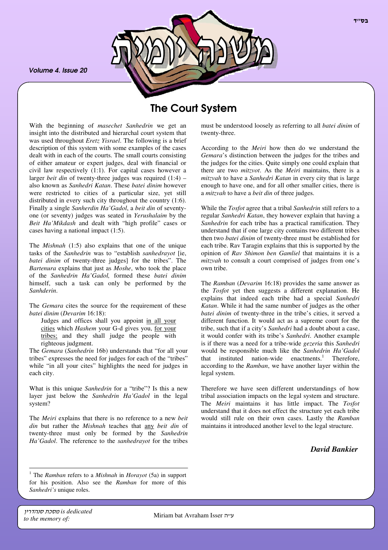*Volume 4. Issue 20*



# The Court System

With the beginning of *masechet Sanhedrin* we get an insight into the distributed and hierarchal court system that was used throughout *Eretz Yisrael*. The following is a brief description of this system with some examples of the cases dealt with in each of the courts. The small courts consisting of either amateur or expert judges, deal with financial or civil law respectively (1:1). For capital cases however a larger *beit din* of twenty-three judges was required (1:4) – also known as *Sanhedri Katan*. These *batei dinim* however were restricted to cities of a particular size, yet still distributed in every such city throughout the country (1:6). Finally a single *Sanherdin Ha'Gadol*, a *beit din* of seventyone (or seventy) judges was seated in *Yerushalaim* by the *Beit Ha'Mikdash* and dealt with "high profile" cases or cases having a national impact (1:5).

The *Mishnah* (1:5) also explains that one of the unique tasks of the *Sanhedrin* was to "establish *sanhedrayot* [ie, *batei dinim* of twenty-three judges] for the tribes". The *Bartenura* explains that just as *Moshe*, who took the place of the *Sanhedrin Ha'Gadol,* formed these *batei dinim* himself, such a task can only be performed by the *Sanhderin*.

The *Gemara* cites the source for the requirement of these *batei dinim* (*Devarim* 16:18):

Judges and offices shall you appoint in all your cities which *Hashem* your G-d gives you, for your tribes; and they shall judge the people with righteous judgment.

The *Gemara* (*Sanhedrin* 16b) understands that "for all your tribes" expresses the need for judges for each of the "tribes" while "in all your cites" highlights the need for judges in each city.

What is this unique *Sanhedrin* for a "tribe"? Is this a new layer just below the *Sanhedrin Ha'Gadol* in the legal system?

The *Meiri* explains that there is no reference to a new *beit din* but rather the *Mishnah* teaches that any *beit din* of twenty-three must only be formed by the *Sanhedrin Ha'Gadol*. The reference to the *sanhedrayot* for the tribes

must be understood loosely as referring to all *batei dinim* of twenty-three.

According to the *Meiri* how then do we understand the *Gemara*'s distinction between the judges for the tribes and the judges for the cities. Quite simply one could explain that there are two *mitzvot*. As the *Meiri* maintains, there is a *mitzvah* to have a *Sanhedri Katan* in every city that is large enough to have one, and for all other smaller cities, there is a *mitzvah* to have a *beit din* of three judges.

While the *Tosfot* agree that a tribal *Sanhedrin* still refers to a regular *Sanhedri Katan*, they however explain that having a *Sanhedrin* for each tribe has a practical ramification. They understand that if one large city contains two different tribes then two *batei dinim* of twenty-three must be established for each tribe. Rav Taragin explains that this is supported by the opinion of *Rav Shimon ben Gamliel* that maintains it is a *mitzvah* to consult a court comprised of judges from one's own tribe.

The *Ramban* (*Devarim* 16:18) provides the same answer as the *Tosfot* yet then suggests a different explanation. He explains that indeed each tribe had a special *Sanhedri Katan*. While it had the same number of judges as the other *batei dinim* of twenty-three in the tribe's cities, it served a different function. It would act as a supreme court for the tribe, such that if a city's *Sanhedri* had a doubt about a case, it would confer with its tribe's *Sanhedri*. Another example is if there was a need for a tribe-wide *gezeria* this *Sanhedri* would be responsible much like the *Sanhedrin Ha'Gadol* that instituted nation-wide enactments. <sup>1</sup> Therefore, according to the *Ramban*, we have another layer within the legal system.

Therefore we have seen different understandings of how tribal association impacts on the legal system and structure. The *Meiri* maintains it has little impact. The *Tosfot* understand that it does not effect the structure yet each tribe would still rule on their own cases. Lastly the *Ramban* maintains it introduced another level to the legal structure.

*David Bankier*

<sup>1</sup> The *Ramban* refers to a *Mishnah* in *Horayot* (5a) in support for his position. Also see the *Ramban* for more of this *Sanhedri's* unique roles.